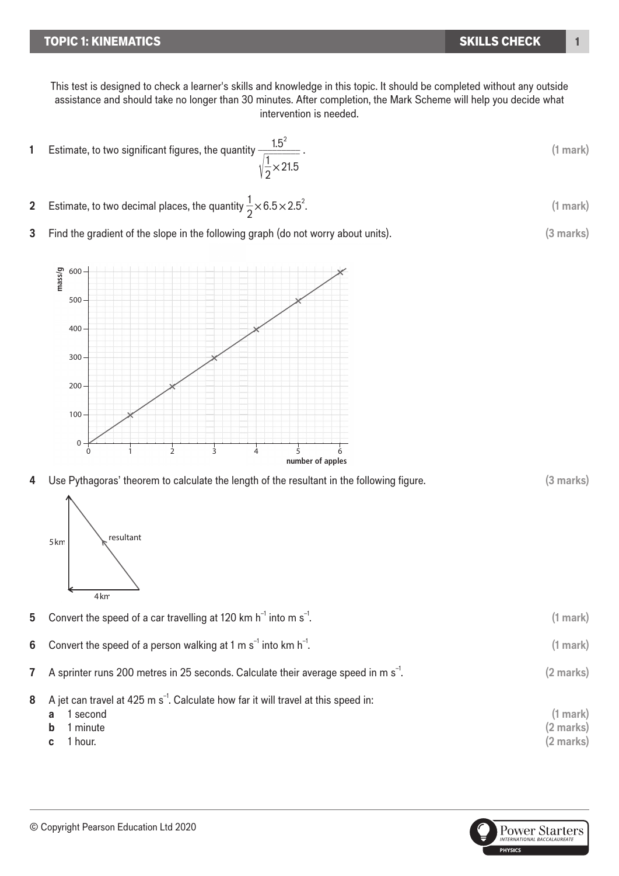## **TOPIC 1: KINEMATICS**

**mass/g**

200

5km

4km

300

400

500

 $\cdot$  600  $-$ 

This test is designed to check a learner's skills and knowledge in this topic. It should be completed without any outside assistance and should take no longer than 30 minutes. After completion, the Mark Scheme will help you decide what intervention is needed.

- **1** Estimate, to two significant figures, the quantity  $\frac{1.5^2}{\sqrt{2.55}}$ √  $\frac{1.5}{1.5}$ \_\_1  $\frac{1}{2}$   $\times$  21.5 . **(1 mark)**
- **2** Estimate, to two decimal places, the quantity  $\frac{1}{2} \times 6.5 \times 2.5^2$ imate, to two
- **3** Find the gradient of the slope in the following graph (do not worry about units). (3 marks)  $\mathcal{A}$  and  $\mathcal{A}$

4 Use Pythagoras' theorem to calculate the length of the resultant in the following figure. (3 marks)

 $T_{\rm eff}$  is still 100 g/apple indicating that each application that each application  $T_{\rm eff}$ 

**8** A jet can travel at 425 m s<sup>-1</sup>. Calculate how far it will travel at this speed in:

**7** A sprinter runs 200 metres in 25 seconds. Calculate their average speed in m s<sup>-1</sup>

**5** Convert the speed of a car travelling at 120 km  $h^{-1}$  into m  $s^{-1}$ .

**6** Convert the speed of a person walking at 1 m s<sup> $-1$ </sup> into km h $^{-1}$ .

**a** 1 second **(1 mark) b** 1 minute **(2 marks) c** 1 hour. **(2 marks)** 1 second

 $\mathbf{h}$  is the this will obtain

. **(1 mark)**

. **(2 marks)**

. **(1 mark)**





. **(1 mark)**